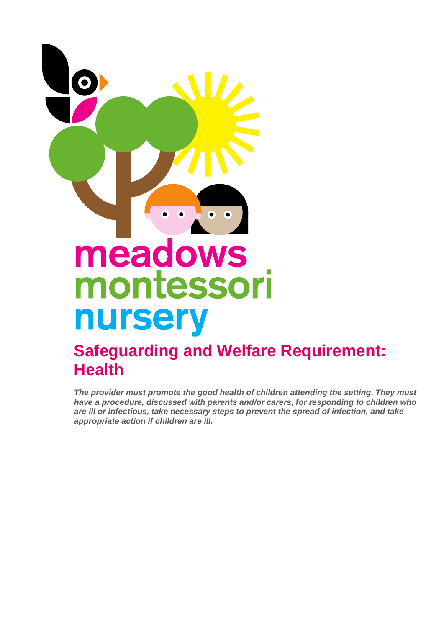

## **Safeguarding and Welfare Requirement: Health**

*The provider must promote the good health of children attending the setting. They must have a procedure, discussed with parents and/or carers, for responding to children who are ill or infectious, take necessary steps to prevent the spread of infection, and take appropriate action if children are ill.*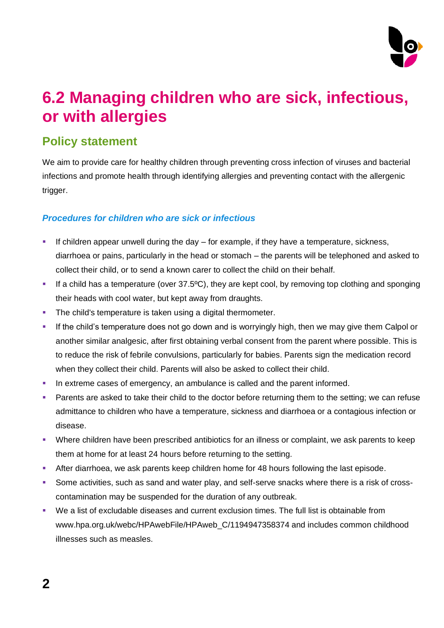

# **6.2 Managing children who are sick, infectious, or with allergies**

## **Policy statement**

We aim to provide care for healthy children through preventing cross infection of viruses and bacterial infections and promote health through identifying allergies and preventing contact with the allergenic trigger.

### *Procedures for children who are sick or infectious*

- **EXECT** If children appear unwell during the day for example, if they have a temperature, sickness, diarrhoea or pains, particularly in the head or stomach – the parents will be telephoned and asked to collect their child, or to send a known carer to collect the child on their behalf.
- **■** If a child has a temperature (over  $37.5^{\circ}$ C), they are kept cool, by removing top clothing and sponging their heads with cool water, but kept away from draughts.
- **•** The child's temperature is taken using a digital thermometer.
- **.** If the child's temperature does not go down and is worryingly high, then we may give them Calpol or another similar analgesic, after first obtaining verbal consent from the parent where possible. This is to reduce the risk of febrile convulsions, particularly for babies. Parents sign the medication record when they collect their child. Parents will also be asked to collect their child.
- In extreme cases of emergency, an ambulance is called and the parent informed.
- **•** Parents are asked to take their child to the doctor before returning them to the setting; we can refuse admittance to children who have a temperature, sickness and diarrhoea or a contagious infection or disease.
- Where children have been prescribed antibiotics for an illness or complaint, we ask parents to keep them at home for at least 24 hours before returning to the setting.
- **EXECT** After diarrhoea, we ask parents keep children home for 48 hours following the last episode.
- **•** Some activities, such as sand and water play, and self-serve snacks where there is a risk of crosscontamination may be suspended for the duration of any outbreak.
- We a list of excludable diseases and current exclusion times. The full list is obtainable from www.hpa.org.uk/webc/HPAwebFile/HPAweb C/1194947358374 and includes common childhood illnesses such as measles.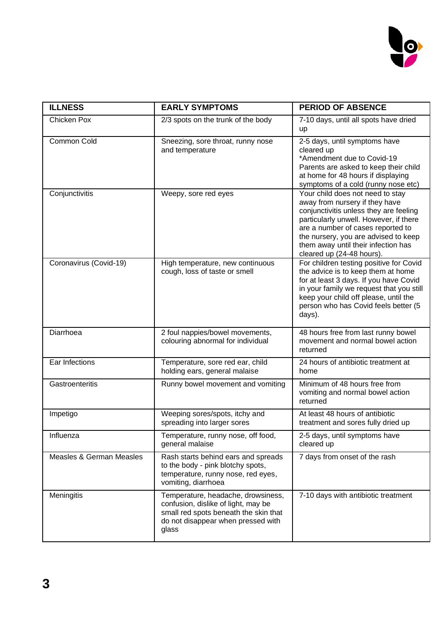

| <b>ILLNESS</b>           | <b>EARLY SYMPTOMS</b>                                                                                                                                             | <b>PERIOD OF ABSENCE</b>                                                                                                                                                                                                                                                                                |
|--------------------------|-------------------------------------------------------------------------------------------------------------------------------------------------------------------|---------------------------------------------------------------------------------------------------------------------------------------------------------------------------------------------------------------------------------------------------------------------------------------------------------|
| <b>Chicken Pox</b>       | 2/3 spots on the trunk of the body                                                                                                                                | 7-10 days, until all spots have dried<br>up                                                                                                                                                                                                                                                             |
| Common Cold              | Sneezing, sore throat, runny nose<br>and temperature                                                                                                              | 2-5 days, until symptoms have<br>cleared up<br>*Amendment due to Covid-19<br>Parents are asked to keep their child<br>at home for 48 hours if displaying<br>symptoms of a cold (runny nose etc)                                                                                                         |
| Conjunctivitis           | Weepy, sore red eyes                                                                                                                                              | Your child does not need to stay<br>away from nursery if they have<br>conjunctivitis unless they are feeling<br>particularly unwell. However, if there<br>are a number of cases reported to<br>the nursery, you are advised to keep<br>them away until their infection has<br>cleared up (24-48 hours). |
| Coronavirus (Covid-19)   | High temperature, new continuous<br>cough, loss of taste or smell                                                                                                 | For children testing positive for Covid<br>the advice is to keep them at home<br>for at least 3 days. If you have Covid<br>in your family we request that you still<br>keep your child off please, until the<br>person who has Covid feels better (5<br>days).                                          |
| Diarrhoea                | 2 foul nappies/bowel movements,<br>colouring abnormal for individual                                                                                              | 48 hours free from last runny bowel<br>movement and normal bowel action<br>returned                                                                                                                                                                                                                     |
| Ear Infections           | Temperature, sore red ear, child<br>holding ears, general malaise                                                                                                 | 24 hours of antibiotic treatment at<br>home                                                                                                                                                                                                                                                             |
| Gastroenteritis          | Runny bowel movement and vomiting                                                                                                                                 | Minimum of 48 hours free from<br>vomiting and normal bowel action<br>returned                                                                                                                                                                                                                           |
| Impetigo                 | Weeping sores/spots, itchy and<br>spreading into larger sores                                                                                                     | At least 48 hours of antibiotic<br>treatment and sores fully dried up                                                                                                                                                                                                                                   |
| <b>Influenza</b>         | Temperature, runny nose, off food,<br>general malaise                                                                                                             | 2-5 days, until symptoms have<br>cleared up                                                                                                                                                                                                                                                             |
| Measles & German Measles | Rash starts behind ears and spreads<br>to the body - pink blotchy spots,<br>temperature, runny nose, red eyes,<br>vomiting, diarrhoea                             | 7 days from onset of the rash                                                                                                                                                                                                                                                                           |
| Meningitis               | Temperature, headache, drowsiness,<br>confusion, dislike of light, may be<br>small red spots beneath the skin that<br>do not disappear when pressed with<br>glass | 7-10 days with antibiotic treatment                                                                                                                                                                                                                                                                     |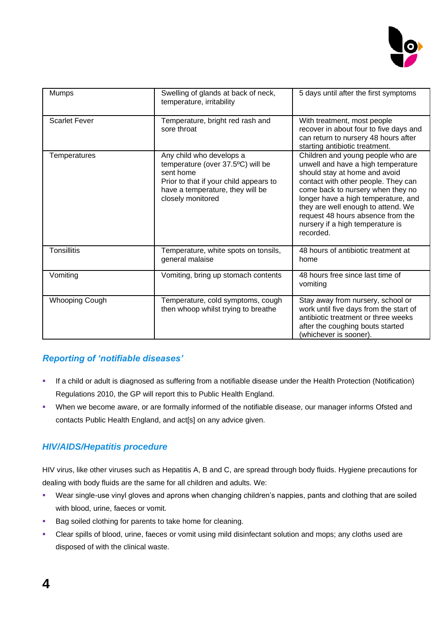

| <b>Mumps</b>          | Swelling of glands at back of neck,<br>temperature, irritability                                                                                                              | 5 days until after the first symptoms                                                                                                                                                                                                                                                                                                                   |  |
|-----------------------|-------------------------------------------------------------------------------------------------------------------------------------------------------------------------------|---------------------------------------------------------------------------------------------------------------------------------------------------------------------------------------------------------------------------------------------------------------------------------------------------------------------------------------------------------|--|
| <b>Scarlet Fever</b>  | Temperature, bright red rash and<br>sore throat                                                                                                                               | With treatment, most people<br>recover in about four to five days and<br>can return to nursery 48 hours after<br>starting antibiotic treatment.                                                                                                                                                                                                         |  |
| Temperatures          | Any child who develops a<br>temperature (over 37.5°C) will be<br>sent home<br>Prior to that if your child appears to<br>have a temperature, they will be<br>closely monitored | Children and young people who are<br>unwell and have a high temperature<br>should stay at home and avoid<br>contact with other people. They can<br>come back to nursery when they no<br>longer have a high temperature, and<br>they are well enough to attend. We<br>request 48 hours absence from the<br>nursery if a high temperature is<br>recorded. |  |
| <b>Tonsillitis</b>    | Temperature, white spots on tonsils,<br>general malaise                                                                                                                       | 48 hours of antibiotic treatment at<br>home                                                                                                                                                                                                                                                                                                             |  |
| Vomiting              | Vomiting, bring up stomach contents                                                                                                                                           | 48 hours free since last time of<br>vomiting                                                                                                                                                                                                                                                                                                            |  |
| <b>Whooping Cough</b> | Temperature, cold symptoms, cough<br>then whoop whilst trying to breathe                                                                                                      | Stay away from nursery, school or<br>work until five days from the start of<br>antibiotic treatment or three weeks<br>after the coughing bouts started<br>(whichever is sooner).                                                                                                                                                                        |  |

### *Reporting of 'notifiable diseases'*

- If a child or adult is diagnosed as suffering from a notifiable disease under the Health Protection (Notification) Regulations 2010, the GP will report this to Public Health England.
- When we become aware, or are formally informed of the notifiable disease, our manager informs Ofsted and contacts Public Health England, and act[s] on any advice given.

### *HIV/AIDS/Hepatitis procedure*

HIV virus, like other viruses such as Hepatitis A, B and C, are spread through body fluids. Hygiene precautions for dealing with body fluids are the same for all children and adults. We:

- Wear single-use vinyl gloves and aprons when changing children's nappies, pants and clothing that are soiled with blood, urine, faeces or vomit.
- Bag soiled clothing for parents to take home for cleaning.
- Clear spills of blood, urine, faeces or vomit using mild disinfectant solution and mops; any cloths used are disposed of with the clinical waste.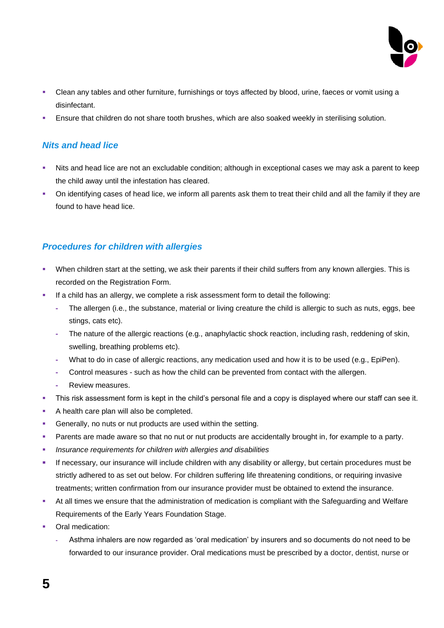

- Clean any tables and other furniture, furnishings or toys affected by blood, urine, faeces or vomit using a disinfectant.
- Ensure that children do not share tooth brushes, which are also soaked weekly in sterilising solution.

#### *Nits and head lice*

- Nits and head lice are not an excludable condition; although in exceptional cases we may ask a parent to keep the child away until the infestation has cleared.
- On identifying cases of head lice, we inform all parents ask them to treat their child and all the family if they are found to have head lice.

#### *Procedures for children with allergies*

- When children start at the setting, we ask their parents if their child suffers from any known allergies. This is recorded on the Registration Form.
- **EXED** If a child has an allergy, we complete a risk assessment form to detail the following:
	- **-** The allergen (i.e., the substance, material or living creature the child is allergic to such as nuts, eggs, bee stings, cats etc).
	- **-** The nature of the allergic reactions (e.g., anaphylactic shock reaction, including rash, reddening of skin, swelling, breathing problems etc).
	- **-** What to do in case of allergic reactions, any medication used and how it is to be used (e.g., EpiPen).
	- **-** Control measures such as how the child can be prevented from contact with the allergen.
	- **-** Review measures.
- **·** This risk assessment form is kept in the child's personal file and a copy is displayed where our staff can see it.
- A health care plan will also be completed.
- **•** Generally, no nuts or nut products are used within the setting.
- **•** Parents are made aware so that no nut or nut products are accidentally brought in, for example to a party.
- *Insurance requirements for children with allergies and disabilities*
- **EXECT** If necessary, our insurance will include children with any disability or allergy, but certain procedures must be strictly adhered to as set out below. For children suffering life threatening conditions, or requiring invasive treatments; written confirmation from our insurance provider must be obtained to extend the insurance.
- At all times we ensure that the administration of medication is compliant with the Safeguarding and Welfare Requirements of the Early Years Foundation Stage.
- Oral medication:
	- **-** Asthma inhalers are now regarded as 'oral medication' by insurers and so documents do not need to be forwarded to our insurance provider. Oral medications must be prescribed by a doctor, dentist, nurse or